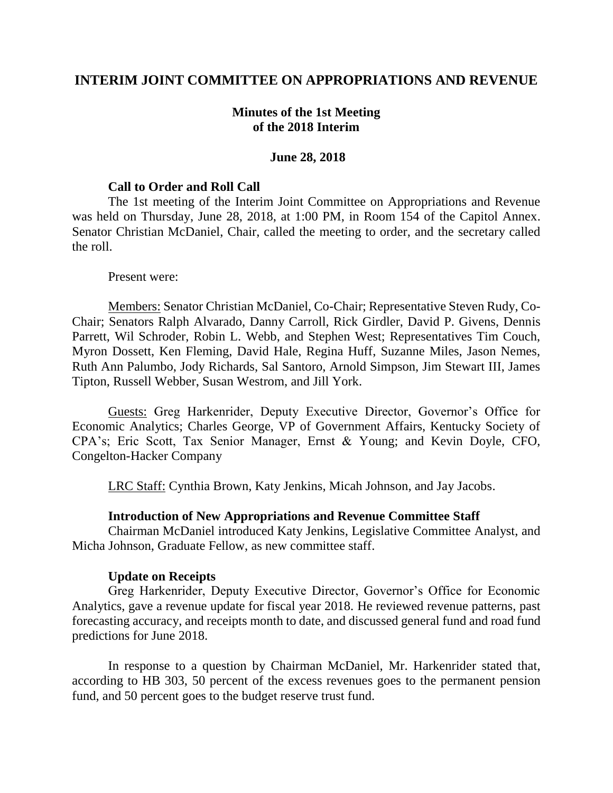## **INTERIM JOINT COMMITTEE ON APPROPRIATIONS AND REVENUE**

## **Minutes of the 1st Meeting of the 2018 Interim**

#### **June 28, 2018**

#### **Call to Order and Roll Call**

The 1st meeting of the Interim Joint Committee on Appropriations and Revenue was held on Thursday, June 28, 2018, at 1:00 PM, in Room 154 of the Capitol Annex. Senator Christian McDaniel, Chair, called the meeting to order, and the secretary called the roll.

#### Present were:

Members: Senator Christian McDaniel, Co-Chair; Representative Steven Rudy, Co-Chair; Senators Ralph Alvarado, Danny Carroll, Rick Girdler, David P. Givens, Dennis Parrett, Wil Schroder, Robin L. Webb, and Stephen West; Representatives Tim Couch, Myron Dossett, Ken Fleming, David Hale, Regina Huff, Suzanne Miles, Jason Nemes, Ruth Ann Palumbo, Jody Richards, Sal Santoro, Arnold Simpson, Jim Stewart III, James Tipton, Russell Webber, Susan Westrom, and Jill York.

Guests: Greg Harkenrider, Deputy Executive Director, Governor's Office for Economic Analytics; Charles George, VP of Government Affairs, Kentucky Society of CPA's; Eric Scott, Tax Senior Manager, Ernst & Young; and Kevin Doyle, CFO, Congelton-Hacker Company

LRC Staff: Cynthia Brown, Katy Jenkins, Micah Johnson, and Jay Jacobs.

### **Introduction of New Appropriations and Revenue Committee Staff**

Chairman McDaniel introduced Katy Jenkins, Legislative Committee Analyst, and Micha Johnson, Graduate Fellow, as new committee staff.

### **Update on Receipts**

Greg Harkenrider, Deputy Executive Director, Governor's Office for Economic Analytics, gave a revenue update for fiscal year 2018. He reviewed revenue patterns, past forecasting accuracy, and receipts month to date, and discussed general fund and road fund predictions for June 2018.

In response to a question by Chairman McDaniel, Mr. Harkenrider stated that, according to HB 303, 50 percent of the excess revenues goes to the permanent pension fund, and 50 percent goes to the budget reserve trust fund.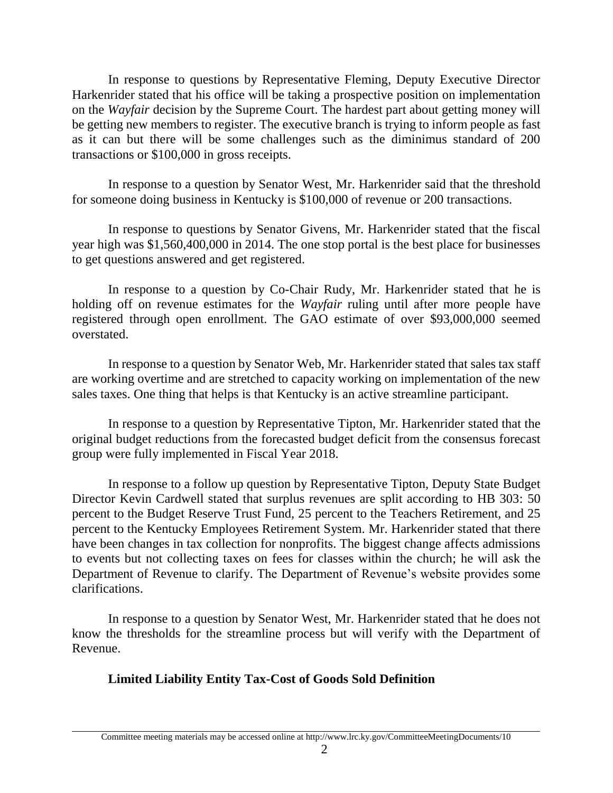In response to questions by Representative Fleming, Deputy Executive Director Harkenrider stated that his office will be taking a prospective position on implementation on the *Wayfair* decision by the Supreme Court. The hardest part about getting money will be getting new members to register. The executive branch is trying to inform people as fast as it can but there will be some challenges such as the diminimus standard of 200 transactions or \$100,000 in gross receipts.

In response to a question by Senator West, Mr. Harkenrider said that the threshold for someone doing business in Kentucky is \$100,000 of revenue or 200 transactions.

In response to questions by Senator Givens, Mr. Harkenrider stated that the fiscal year high was \$1,560,400,000 in 2014. The one stop portal is the best place for businesses to get questions answered and get registered.

In response to a question by Co-Chair Rudy, Mr. Harkenrider stated that he is holding off on revenue estimates for the *Wayfair* ruling until after more people have registered through open enrollment. The GAO estimate of over \$93,000,000 seemed overstated.

In response to a question by Senator Web, Mr. Harkenrider stated that sales tax staff are working overtime and are stretched to capacity working on implementation of the new sales taxes. One thing that helps is that Kentucky is an active streamline participant.

In response to a question by Representative Tipton, Mr. Harkenrider stated that the original budget reductions from the forecasted budget deficit from the consensus forecast group were fully implemented in Fiscal Year 2018.

In response to a follow up question by Representative Tipton, Deputy State Budget Director Kevin Cardwell stated that surplus revenues are split according to HB 303: 50 percent to the Budget Reserve Trust Fund, 25 percent to the Teachers Retirement, and 25 percent to the Kentucky Employees Retirement System. Mr. Harkenrider stated that there have been changes in tax collection for nonprofits. The biggest change affects admissions to events but not collecting taxes on fees for classes within the church; he will ask the Department of Revenue to clarify. The Department of Revenue's website provides some clarifications.

In response to a question by Senator West, Mr. Harkenrider stated that he does not know the thresholds for the streamline process but will verify with the Department of Revenue.

# **Limited Liability Entity Tax-Cost of Goods Sold Definition**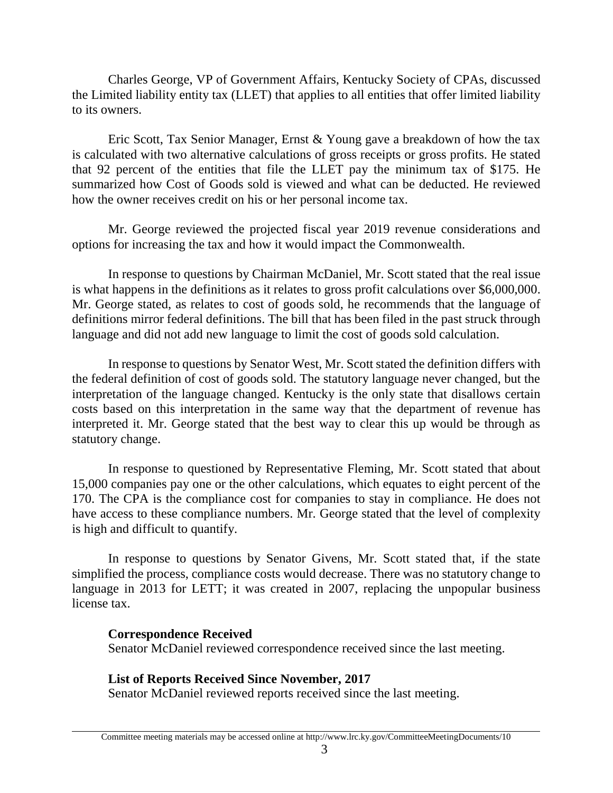Charles George, VP of Government Affairs, Kentucky Society of CPAs, discussed the Limited liability entity tax (LLET) that applies to all entities that offer limited liability to its owners.

Eric Scott, Tax Senior Manager, Ernst & Young gave a breakdown of how the tax is calculated with two alternative calculations of gross receipts or gross profits. He stated that 92 percent of the entities that file the LLET pay the minimum tax of \$175. He summarized how Cost of Goods sold is viewed and what can be deducted. He reviewed how the owner receives credit on his or her personal income tax.

Mr. George reviewed the projected fiscal year 2019 revenue considerations and options for increasing the tax and how it would impact the Commonwealth.

In response to questions by Chairman McDaniel, Mr. Scott stated that the real issue is what happens in the definitions as it relates to gross profit calculations over \$6,000,000. Mr. George stated, as relates to cost of goods sold, he recommends that the language of definitions mirror federal definitions. The bill that has been filed in the past struck through language and did not add new language to limit the cost of goods sold calculation.

In response to questions by Senator West, Mr. Scott stated the definition differs with the federal definition of cost of goods sold. The statutory language never changed, but the interpretation of the language changed. Kentucky is the only state that disallows certain costs based on this interpretation in the same way that the department of revenue has interpreted it. Mr. George stated that the best way to clear this up would be through as statutory change.

In response to questioned by Representative Fleming, Mr. Scott stated that about 15,000 companies pay one or the other calculations, which equates to eight percent of the 170. The CPA is the compliance cost for companies to stay in compliance. He does not have access to these compliance numbers. Mr. George stated that the level of complexity is high and difficult to quantify.

In response to questions by Senator Givens, Mr. Scott stated that, if the state simplified the process, compliance costs would decrease. There was no statutory change to language in 2013 for LETT; it was created in 2007, replacing the unpopular business license tax.

## **Correspondence Received**

Senator McDaniel reviewed correspondence received since the last meeting.

# **List of Reports Received Since November, 2017**

Senator McDaniel reviewed reports received since the last meeting.